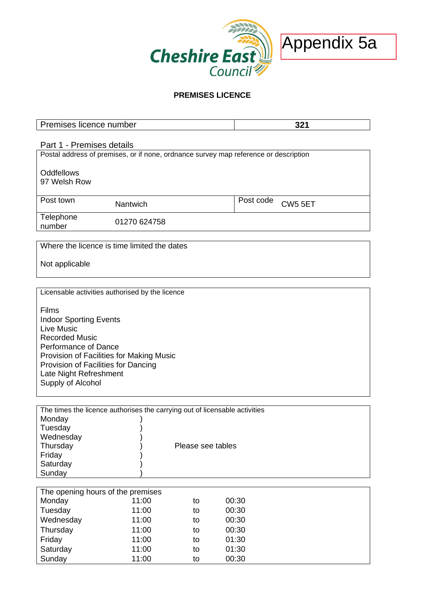

# **PREMISES LICENCE**

| Premises licence number                                                    |                                                                                      |                   |                | 321                 |  |  |  |  |  |
|----------------------------------------------------------------------------|--------------------------------------------------------------------------------------|-------------------|----------------|---------------------|--|--|--|--|--|
|                                                                            | Part 1 - Premises details                                                            |                   |                |                     |  |  |  |  |  |
|                                                                            | Postal address of premises, or if none, ordnance survey map reference or description |                   |                |                     |  |  |  |  |  |
|                                                                            |                                                                                      |                   |                |                     |  |  |  |  |  |
| <b>Oddfellows</b>                                                          |                                                                                      |                   |                |                     |  |  |  |  |  |
| 97 Welsh Row                                                               |                                                                                      |                   |                |                     |  |  |  |  |  |
| Post town                                                                  |                                                                                      |                   | Post code      |                     |  |  |  |  |  |
|                                                                            | Nantwich                                                                             |                   |                | CW <sub>5</sub> 5ET |  |  |  |  |  |
| Telephone                                                                  | 01270 624758                                                                         |                   |                |                     |  |  |  |  |  |
| number                                                                     |                                                                                      |                   |                |                     |  |  |  |  |  |
|                                                                            |                                                                                      |                   |                |                     |  |  |  |  |  |
| Where the licence is time limited the dates                                |                                                                                      |                   |                |                     |  |  |  |  |  |
| Not applicable                                                             |                                                                                      |                   |                |                     |  |  |  |  |  |
|                                                                            |                                                                                      |                   |                |                     |  |  |  |  |  |
|                                                                            |                                                                                      |                   |                |                     |  |  |  |  |  |
| Licensable activities authorised by the licence                            |                                                                                      |                   |                |                     |  |  |  |  |  |
|                                                                            |                                                                                      |                   |                |                     |  |  |  |  |  |
| Films                                                                      |                                                                                      |                   |                |                     |  |  |  |  |  |
| <b>Indoor Sporting Events</b>                                              |                                                                                      |                   |                |                     |  |  |  |  |  |
| <b>Live Music</b>                                                          |                                                                                      |                   |                |                     |  |  |  |  |  |
| <b>Recorded Music</b>                                                      |                                                                                      |                   |                |                     |  |  |  |  |  |
| Performance of Dance                                                       |                                                                                      |                   |                |                     |  |  |  |  |  |
| Provision of Facilities for Making Music                                   |                                                                                      |                   |                |                     |  |  |  |  |  |
| Provision of Facilities for Dancing                                        |                                                                                      |                   |                |                     |  |  |  |  |  |
| Late Night Refreshment                                                     |                                                                                      |                   |                |                     |  |  |  |  |  |
| Supply of Alcohol                                                          |                                                                                      |                   |                |                     |  |  |  |  |  |
|                                                                            |                                                                                      |                   |                |                     |  |  |  |  |  |
| The times the licence authorises the carrying out of licensable activities |                                                                                      |                   |                |                     |  |  |  |  |  |
| Monday                                                                     |                                                                                      |                   |                |                     |  |  |  |  |  |
| Tuesday                                                                    |                                                                                      |                   |                |                     |  |  |  |  |  |
| Wednesday                                                                  |                                                                                      |                   |                |                     |  |  |  |  |  |
| Thursday                                                                   |                                                                                      | Please see tables |                |                     |  |  |  |  |  |
| Friday                                                                     |                                                                                      |                   |                |                     |  |  |  |  |  |
| Saturday                                                                   |                                                                                      |                   |                |                     |  |  |  |  |  |
| Sunday                                                                     |                                                                                      |                   |                |                     |  |  |  |  |  |
|                                                                            |                                                                                      |                   |                |                     |  |  |  |  |  |
| The opening hours of the premises                                          | 11:00                                                                                |                   |                |                     |  |  |  |  |  |
| Monday<br>Tuesday                                                          | 11:00                                                                                | to<br>to          | 00:30<br>00:30 |                     |  |  |  |  |  |
| Wednesday                                                                  | 11:00                                                                                | to                | 00:30          |                     |  |  |  |  |  |
|                                                                            |                                                                                      |                   | 00:30          |                     |  |  |  |  |  |
| Thursday                                                                   | 11:00                                                                                | to                |                |                     |  |  |  |  |  |
| Friday                                                                     | 11:00                                                                                | to                | 01:30          |                     |  |  |  |  |  |
| Saturday                                                                   | 11:00                                                                                | to                | 01:30          |                     |  |  |  |  |  |
| Sunday                                                                     | 11:00                                                                                | to                | 00:30          |                     |  |  |  |  |  |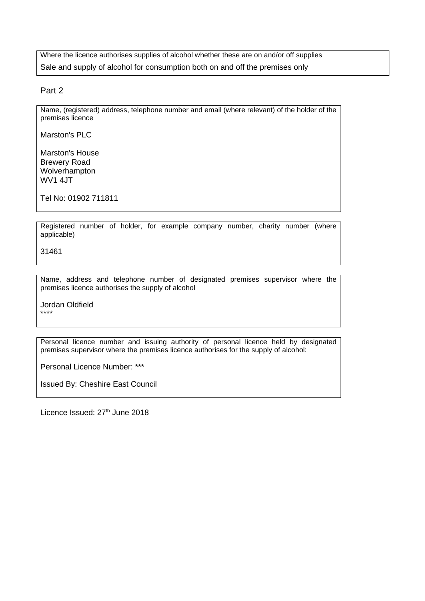Where the licence authorises supplies of alcohol whether these are on and/or off supplies Sale and supply of alcohol for consumption both on and off the premises only

Part 2

Name, (registered) address, telephone number and email (where relevant) of the holder of the premises licence

Marston's PLC

Marston's House Brewery Road Wolverhampton WV1 4JT

Tel No: 01902 711811

Registered number of holder, for example company number, charity number (where applicable)

31461

Name, address and telephone number of designated premises supervisor where the premises licence authorises the supply of alcohol

Jordan Oldfield \*\*\*\*

Personal licence number and issuing authority of personal licence held by designated premises supervisor where the premises licence authorises for the supply of alcohol:

Personal Licence Number: \*\*\*

Issued By: Cheshire East Council

Licence Issued: 27<sup>th</sup> June 2018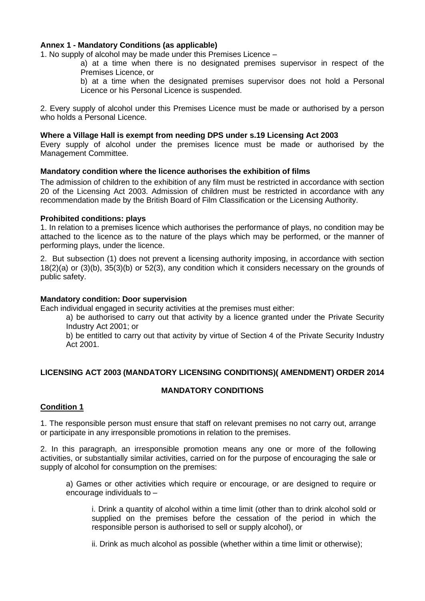### **Annex 1 - Mandatory Conditions (as applicable)**

1. No supply of alcohol may be made under this Premises Licence –

a) at a time when there is no designated premises supervisor in respect of the Premises Licence, or

b) at a time when the designated premises supervisor does not hold a Personal Licence or his Personal Licence is suspended.

2. Every supply of alcohol under this Premises Licence must be made or authorised by a person who holds a Personal Licence.

#### **Where a Village Hall is exempt from needing DPS under s.19 Licensing Act 2003**

Every supply of alcohol under the premises licence must be made or authorised by the Management Committee.

#### **Mandatory condition where the licence authorises the exhibition of films**

The admission of children to the exhibition of any film must be restricted in accordance with section 20 of the Licensing Act 2003. Admission of children must be restricted in accordance with any recommendation made by the British Board of Film Classification or the Licensing Authority.

#### **Prohibited conditions: plays**

1. In relation to a premises licence which authorises the performance of plays, no condition may be attached to the licence as to the nature of the plays which may be performed, or the manner of performing plays, under the licence.

2. But subsection (1) does not prevent a licensing authority imposing, in accordance with section 18(2)(a) or (3)(b), 35(3)(b) or 52(3), any condition which it considers necessary on the grounds of public safety.

#### **Mandatory condition: Door supervision**

Each individual engaged in security activities at the premises must either:

a) be authorised to carry out that activity by a licence granted under the Private Security Industry Act 2001; or

b) be entitled to carry out that activity by virtue of Section 4 of the Private Security Industry Act 2001.

## **LICENSING ACT 2003 (MANDATORY LICENSING CONDITIONS)( AMENDMENT) ORDER 2014**

#### **MANDATORY CONDITIONS**

#### **Condition 1**

1. The responsible person must ensure that staff on relevant premises no not carry out, arrange or participate in any irresponsible promotions in relation to the premises.

2. In this paragraph, an irresponsible promotion means any one or more of the following activities, or substantially similar activities, carried on for the purpose of encouraging the sale or supply of alcohol for consumption on the premises:

a) Games or other activities which require or encourage, or are designed to require or encourage individuals to –

i. Drink a quantity of alcohol within a time limit (other than to drink alcohol sold or supplied on the premises before the cessation of the period in which the responsible person is authorised to sell or supply alcohol), or

ii. Drink as much alcohol as possible (whether within a time limit or otherwise);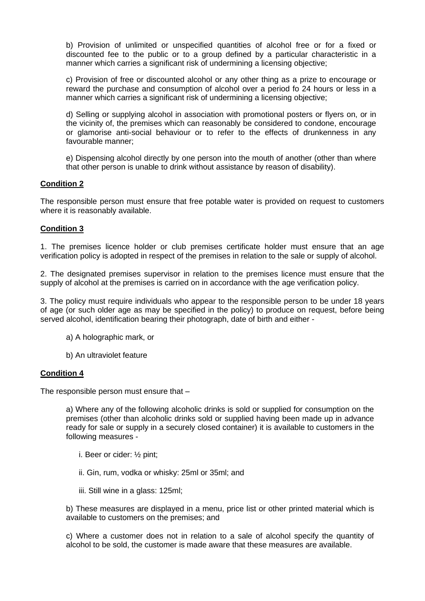b) Provision of unlimited or unspecified quantities of alcohol free or for a fixed or discounted fee to the public or to a group defined by a particular characteristic in a manner which carries a significant risk of undermining a licensing objective;

c) Provision of free or discounted alcohol or any other thing as a prize to encourage or reward the purchase and consumption of alcohol over a period fo 24 hours or less in a manner which carries a significant risk of undermining a licensing objective;

d) Selling or supplying alcohol in association with promotional posters or flyers on, or in the vicinity of, the premises which can reasonably be considered to condone, encourage or glamorise anti-social behaviour or to refer to the effects of drunkenness in any favourable manner;

e) Dispensing alcohol directly by one person into the mouth of another (other than where that other person is unable to drink without assistance by reason of disability).

# **Condition 2**

The responsible person must ensure that free potable water is provided on request to customers where it is reasonably available.

## **Condition 3**

1. The premises licence holder or club premises certificate holder must ensure that an age verification policy is adopted in respect of the premises in relation to the sale or supply of alcohol.

2. The designated premises supervisor in relation to the premises licence must ensure that the supply of alcohol at the premises is carried on in accordance with the age verification policy.

3. The policy must require individuals who appear to the responsible person to be under 18 years of age (or such older age as may be specified in the policy) to produce on request, before being served alcohol, identification bearing their photograph, date of birth and either -

- a) A holographic mark, or
- b) An ultraviolet feature

## **Condition 4**

The responsible person must ensure that –

a) Where any of the following alcoholic drinks is sold or supplied for consumption on the premises (other than alcoholic drinks sold or supplied having been made up in advance ready for sale or supply in a securely closed container) it is available to customers in the following measures -

- i. Beer or cider: ½ pint;
- ii. Gin, rum, vodka or whisky: 25ml or 35ml; and
- iii. Still wine in a glass: 125ml;

b) These measures are displayed in a menu, price list or other printed material which is available to customers on the premises; and

c) Where a customer does not in relation to a sale of alcohol specify the quantity of alcohol to be sold, the customer is made aware that these measures are available.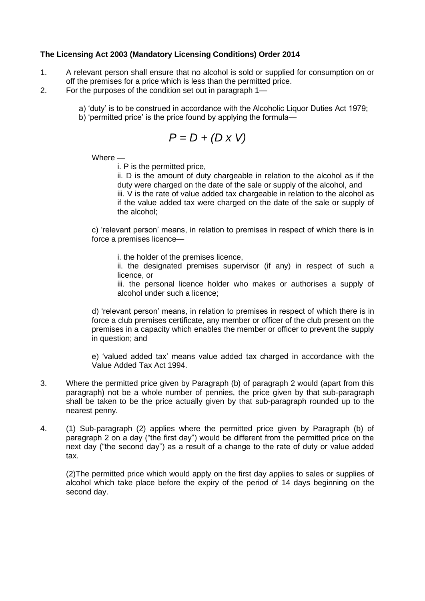# **The Licensing Act 2003 (Mandatory Licensing Conditions) Order 2014**

- 1. A relevant person shall ensure that no alcohol is sold or supplied for consumption on or off the premises for a price which is less than the permitted price.
- 2. For the purposes of the condition set out in paragraph 1
	- a) 'duty' is to be construed in accordance with the Alcoholic Liquor Duties Act 1979;
	- b) 'permitted price' is the price found by applying the formula—

$$
P = D + (D \times V)
$$

Where —

i. P is the permitted price,

ii. D is the amount of duty chargeable in relation to the alcohol as if the duty were charged on the date of the sale or supply of the alcohol, and iii. V is the rate of value added tax chargeable in relation to the alcohol as if the value added tax were charged on the date of the sale or supply of the alcohol;

c) 'relevant person' means, in relation to premises in respect of which there is in force a premises licence—

i. the holder of the premises licence,

ii. the designated premises supervisor (if any) in respect of such a licence, or

iii. the personal licence holder who makes or authorises a supply of alcohol under such a licence;

d) 'relevant person' means, in relation to premises in respect of which there is in force a club premises certificate, any member or officer of the club present on the premises in a capacity which enables the member or officer to prevent the supply in question; and

e) 'valued added tax' means value added tax charged in accordance with the Value Added Tax Act 1994.

- 3. Where the permitted price given by Paragraph (b) of paragraph 2 would (apart from this paragraph) not be a whole number of pennies, the price given by that sub-paragraph shall be taken to be the price actually given by that sub-paragraph rounded up to the nearest penny.
- 4. (1) Sub-paragraph (2) applies where the permitted price given by Paragraph (b) of paragraph 2 on a day ("the first day") would be different from the permitted price on the next day ("the second day") as a result of a change to the rate of duty or value added tax.

(2)The permitted price which would apply on the first day applies to sales or supplies of alcohol which take place before the expiry of the period of 14 days beginning on the second day.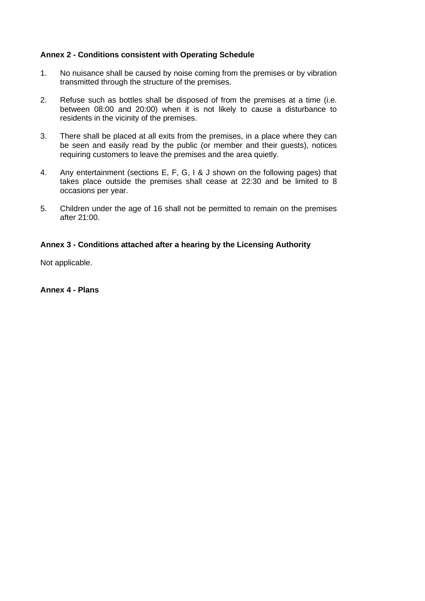## **Annex 2 - Conditions consistent with Operating Schedule**

- 1. No nuisance shall be caused by noise coming from the premises or by vibration transmitted through the structure of the premises.
- 2. Refuse such as bottles shall be disposed of from the premises at a time (i.e. between 08:00 and 20:00) when it is not likely to cause a disturbance to residents in the vicinity of the premises.
- 3. There shall be placed at all exits from the premises, in a place where they can be seen and easily read by the public (or member and their guests), notices requiring customers to leave the premises and the area quietly.
- 4. Any entertainment (sections E, F, G, I & J shown on the following pages) that takes place outside the premises shall cease at 22:30 and be limited to 8 occasions per year.
- 5. Children under the age of 16 shall not be permitted to remain on the premises after 21:00.

### **Annex 3 - Conditions attached after a hearing by the Licensing Authority**

Not applicable.

#### **Annex 4 - Plans**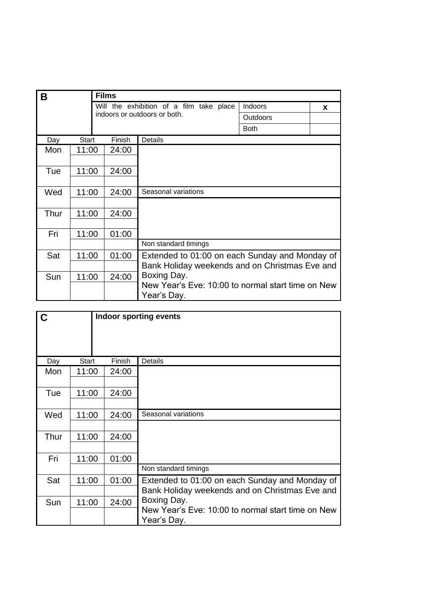| B    |              | <b>Films</b> |                                                   |             |          |
|------|--------------|--------------|---------------------------------------------------|-------------|----------|
|      |              |              | Will the exhibition of a film take place          | Indoors     | <b>X</b> |
|      |              |              | indoors or outdoors or both.                      | Outdoors    |          |
|      |              |              |                                                   | <b>Both</b> |          |
| Day  | <b>Start</b> | Finish       | Details                                           |             |          |
| Mon  | 11:00        | 24:00        |                                                   |             |          |
|      |              |              |                                                   |             |          |
| Tue  | 11:00        | 24:00        |                                                   |             |          |
|      |              |              |                                                   |             |          |
| Wed  | 11:00        | 24:00        | Seasonal variations                               |             |          |
|      |              |              |                                                   |             |          |
| Thur | 11:00        | 24:00        |                                                   |             |          |
|      |              |              |                                                   |             |          |
| Fri  | 11:00        | 01:00        |                                                   |             |          |
|      |              |              | Non standard timings                              |             |          |
| Sat  | 11:00        | 01:00        | Extended to 01:00 on each Sunday and Monday of    |             |          |
|      |              |              | Bank Holiday weekends and on Christmas Eve and    |             |          |
| Sun  | 11:00        | 24:00        | Boxing Day.                                       |             |          |
|      |              |              | New Year's Eve: 10:00 to normal start time on New |             |          |
|      |              |              | Year's Day.                                       |             |          |

| $\overline{c}$ |              |        | <b>Indoor sporting events</b>                                    |
|----------------|--------------|--------|------------------------------------------------------------------|
|                |              |        |                                                                  |
|                |              |        |                                                                  |
| Day            | <b>Start</b> | Finish | Details                                                          |
| Mon            | 11:00        | 24:00  |                                                                  |
|                |              |        |                                                                  |
| Tue            | 11:00        | 24:00  |                                                                  |
|                |              |        |                                                                  |
| Wed            | 11:00        | 24:00  | Seasonal variations                                              |
|                |              |        |                                                                  |
| Thur           | 11:00        | 24:00  |                                                                  |
|                |              |        |                                                                  |
| Fri            | 11:00        | 01:00  |                                                                  |
|                |              |        | Non standard timings                                             |
| Sat            | 11:00        | 01:00  | Extended to 01:00 on each Sunday and Monday of                   |
|                |              |        | Bank Holiday weekends and on Christmas Eve and                   |
| Sun            | 11:00        | 24:00  | Boxing Day.                                                      |
|                |              |        | New Year's Eve: 10:00 to normal start time on New<br>Year's Day. |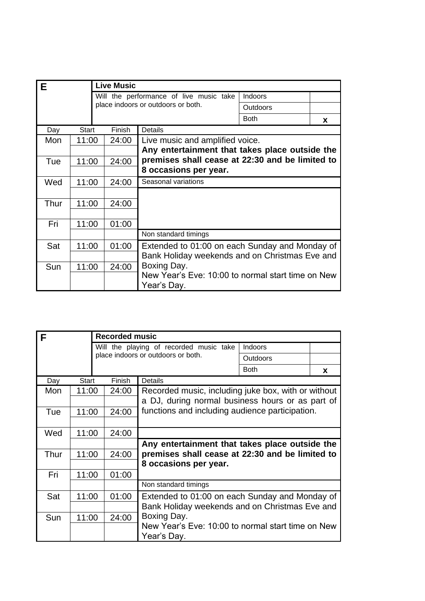| Е    |       | <b>Live Music</b> |                                                   |             |          |
|------|-------|-------------------|---------------------------------------------------|-------------|----------|
|      |       |                   | Will the performance of live music take           | Indoors     |          |
|      |       |                   | place indoors or outdoors or both.                | Outdoors    |          |
|      |       |                   |                                                   | <b>Both</b> | <b>X</b> |
| Day  | Start | Finish            | Details                                           |             |          |
| Mon  | 11:00 | 24:00             | Live music and amplified voice.                   |             |          |
|      |       |                   | Any entertainment that takes place outside the    |             |          |
| Tue  | 11:00 | 24:00             | premises shall cease at 22:30 and be limited to   |             |          |
|      |       |                   | 8 occasions per year.                             |             |          |
| Wed  | 11:00 | 24:00             | Seasonal variations                               |             |          |
|      |       |                   |                                                   |             |          |
| Thur | 11:00 | 24:00             |                                                   |             |          |
|      |       |                   |                                                   |             |          |
| Fri  | 11:00 | 01:00             |                                                   |             |          |
|      |       |                   | Non standard timings                              |             |          |
| Sat  | 11:00 | 01:00             | Extended to 01:00 on each Sunday and Monday of    |             |          |
|      |       |                   | Bank Holiday weekends and on Christmas Eve and    |             |          |
| Sun  | 11:00 | 24:00             | Boxing Day.                                       |             |          |
|      |       |                   | New Year's Eve: 10:00 to normal start time on New |             |          |
|      |       |                   | Year's Day.                                       |             |          |

| F    |       | <b>Recorded music</b> |                                                                  |             |          |
|------|-------|-----------------------|------------------------------------------------------------------|-------------|----------|
|      |       |                       | Will the playing of recorded music take                          | Indoors     |          |
|      |       |                       | place indoors or outdoors or both.                               | Outdoors    |          |
|      |       |                       |                                                                  | <b>Both</b> | <b>X</b> |
| Day  | Start | Finish                | <b>Details</b>                                                   |             |          |
| Mon  | 11:00 | 24:00                 | Recorded music, including juke box, with or without              |             |          |
|      |       |                       | a DJ, during normal business hours or as part of                 |             |          |
| Tue  | 11:00 | 24:00                 | functions and including audience participation.                  |             |          |
|      |       |                       |                                                                  |             |          |
| Wed  | 11:00 | 24:00                 |                                                                  |             |          |
|      |       |                       | Any entertainment that takes place outside the                   |             |          |
| Thur | 11:00 | 24:00                 | premises shall cease at 22:30 and be limited to                  |             |          |
|      |       |                       | 8 occasions per year.                                            |             |          |
| Fri  | 11:00 | 01:00                 |                                                                  |             |          |
|      |       |                       | Non standard timings                                             |             |          |
| Sat  | 11:00 | 01:00                 | Extended to 01:00 on each Sunday and Monday of                   |             |          |
|      |       |                       | Bank Holiday weekends and on Christmas Eve and                   |             |          |
| Sun  | 11:00 | 24:00                 | Boxing Day.                                                      |             |          |
|      |       |                       | New Year's Eve: 10:00 to normal start time on New<br>Year's Day. |             |          |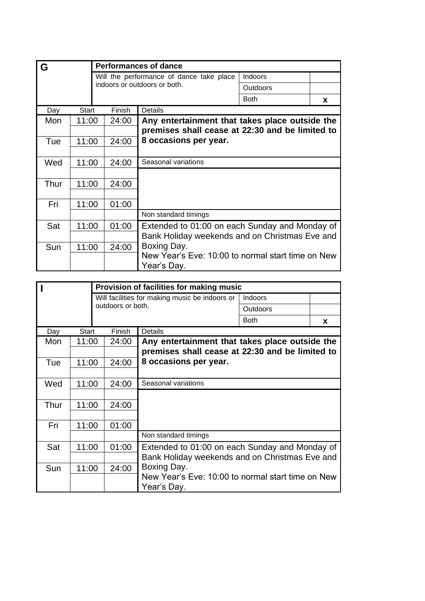| G    |       |  |        | <b>Performances of dance</b>                                     |             |          |
|------|-------|--|--------|------------------------------------------------------------------|-------------|----------|
|      |       |  |        | Will the performance of dance take place                         | Indoors     |          |
|      |       |  |        | indoors or outdoors or both.                                     | Outdoors    |          |
|      |       |  |        |                                                                  | <b>Both</b> | <b>X</b> |
| Day  | Start |  | Finish | Details                                                          |             |          |
| Mon  | 11:00 |  | 24:00  | Any entertainment that takes place outside the                   |             |          |
|      |       |  |        | premises shall cease at 22:30 and be limited to                  |             |          |
| Tue  | 11:00 |  | 24:00  | 8 occasions per year.                                            |             |          |
|      |       |  |        |                                                                  |             |          |
| Wed  | 11:00 |  | 24:00  | Seasonal variations                                              |             |          |
|      |       |  |        |                                                                  |             |          |
| Thur | 11:00 |  | 24:00  |                                                                  |             |          |
|      |       |  |        |                                                                  |             |          |
| Fri  | 11:00 |  | 01:00  |                                                                  |             |          |
|      |       |  |        | Non standard timings                                             |             |          |
| Sat  | 11:00 |  | 01:00  | Extended to 01:00 on each Sunday and Monday of                   |             |          |
|      |       |  |        | Bank Holiday weekends and on Christmas Eve and                   |             |          |
| Sun  | 11:00 |  | 24:00  | Boxing Day.                                                      |             |          |
|      |       |  |        | New Year's Eve: 10:00 to normal start time on New<br>Year's Day. |             |          |

|      |       |  |                                                           | Provision of facilities for making music                         |                                                |   |  |
|------|-------|--|-----------------------------------------------------------|------------------------------------------------------------------|------------------------------------------------|---|--|
|      |       |  | Will facilities for making music be indoors or<br>Indoors |                                                                  |                                                |   |  |
|      |       |  | outdoors or both.                                         |                                                                  | <b>Outdoors</b>                                |   |  |
|      |       |  |                                                           |                                                                  | <b>Both</b>                                    | X |  |
| Day  | Start |  | Finish                                                    | <b>Details</b>                                                   |                                                |   |  |
| Mon  | 11:00 |  | 24:00                                                     |                                                                  | Any entertainment that takes place outside the |   |  |
|      |       |  |                                                           | premises shall cease at 22:30 and be limited to                  |                                                |   |  |
| Tue  | 11:00 |  | 24:00                                                     | 8 occasions per year.                                            |                                                |   |  |
|      |       |  |                                                           |                                                                  |                                                |   |  |
| Wed  | 11:00 |  | 24:00                                                     | Seasonal variations                                              |                                                |   |  |
|      |       |  |                                                           |                                                                  |                                                |   |  |
| Thur | 11:00 |  | 24:00                                                     |                                                                  |                                                |   |  |
|      |       |  |                                                           |                                                                  |                                                |   |  |
| Fri  | 11:00 |  | 01:00                                                     |                                                                  |                                                |   |  |
|      |       |  |                                                           | Non standard timings                                             |                                                |   |  |
| Sat  | 11:00 |  | 01:00                                                     | Extended to 01:00 on each Sunday and Monday of                   |                                                |   |  |
|      |       |  |                                                           | Bank Holiday weekends and on Christmas Eve and                   |                                                |   |  |
| Sun  | 11:00 |  | 24:00                                                     | Boxing Day.                                                      |                                                |   |  |
|      |       |  |                                                           | New Year's Eve: 10:00 to normal start time on New<br>Year's Day. |                                                |   |  |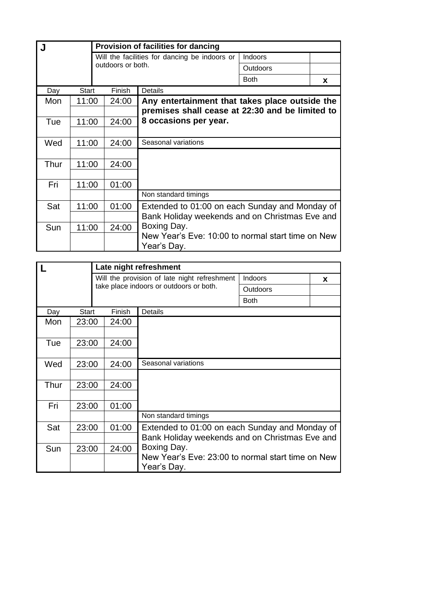|      |       |  |                   | <b>Provision of facilities for dancing</b>               |             |   |
|------|-------|--|-------------------|----------------------------------------------------------|-------------|---|
|      |       |  |                   | Will the facilities for dancing be indoors or<br>Indoors |             |   |
|      |       |  | outdoors or both. |                                                          | Outdoors    |   |
|      |       |  |                   |                                                          | <b>Both</b> | X |
| Day  | Start |  | Finish            | Details                                                  |             |   |
| Mon  | 11:00 |  | 24:00             | Any entertainment that takes place outside the           |             |   |
|      |       |  |                   | premises shall cease at 22:30 and be limited to          |             |   |
| Tue  | 11:00 |  | 24:00             | 8 occasions per year.                                    |             |   |
|      |       |  |                   |                                                          |             |   |
| Wed  | 11:00 |  | 24:00             | Seasonal variations                                      |             |   |
|      |       |  |                   |                                                          |             |   |
| Thur | 11:00 |  | 24:00             |                                                          |             |   |
|      |       |  |                   |                                                          |             |   |
| Fri  | 11:00 |  | 01:00             |                                                          |             |   |
|      |       |  |                   | Non standard timings                                     |             |   |
| Sat  | 11:00 |  | 01:00             | Extended to 01:00 on each Sunday and Monday of           |             |   |
|      |       |  |                   | Bank Holiday weekends and on Christmas Eve and           |             |   |
| Sun  | 11:00 |  | 24:00             | Boxing Day.                                              |             |   |
|      |       |  |                   | New Year's Eve: 10:00 to normal start time on New        |             |   |
|      |       |  |                   | Year's Day.                                              |             |   |

|      |              |        | Late night refreshment                                           |             |          |
|------|--------------|--------|------------------------------------------------------------------|-------------|----------|
|      |              |        | Will the provision of late night refreshment                     | Indoors     | <b>X</b> |
|      |              |        | take place indoors or outdoors or both.                          | Outdoors    |          |
|      |              |        |                                                                  | <b>Both</b> |          |
| Day  | <b>Start</b> | Finish | Details                                                          |             |          |
| Mon  | 23:00        | 24:00  |                                                                  |             |          |
|      |              |        |                                                                  |             |          |
| Tue  | 23:00        | 24:00  |                                                                  |             |          |
|      |              |        |                                                                  |             |          |
| Wed  | 23:00        | 24:00  | Seasonal variations                                              |             |          |
|      |              |        |                                                                  |             |          |
| Thur | 23:00        | 24:00  |                                                                  |             |          |
|      |              |        |                                                                  |             |          |
| Fri  | 23:00        | 01:00  |                                                                  |             |          |
|      |              |        | Non standard timings                                             |             |          |
| Sat  | 23:00        | 01:00  | Extended to 01:00 on each Sunday and Monday of                   |             |          |
|      |              |        | Bank Holiday weekends and on Christmas Eve and                   |             |          |
| Sun  | 23:00        | 24:00  | Boxing Day.                                                      |             |          |
|      |              |        | New Year's Eve: 23:00 to normal start time on New<br>Year's Day. |             |          |